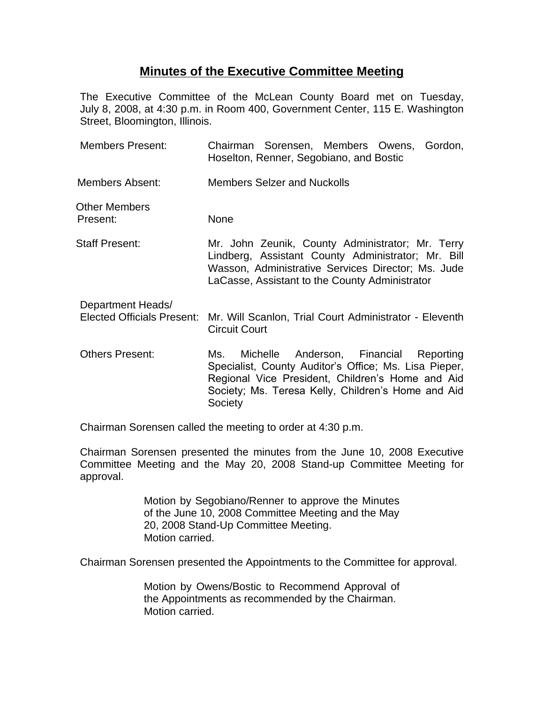## **Minutes of the Executive Committee Meeting**

The Executive Committee of the McLean County Board met on Tuesday, July 8, 2008, at 4:30 p.m. in Room 400, Government Center, 115 E. Washington Street, Bloomington, Illinois.

| <b>Members Present:</b>                                | Chairman Sorensen, Members Owens, Gordon,<br>Hoselton, Renner, Segobiano, and Bostic                                                                                                                                        |
|--------------------------------------------------------|-----------------------------------------------------------------------------------------------------------------------------------------------------------------------------------------------------------------------------|
| Members Absent:                                        | <b>Members Selzer and Nuckolls</b>                                                                                                                                                                                          |
| Other Members<br>Present:                              | <b>None</b>                                                                                                                                                                                                                 |
| Staff Present:                                         | Mr. John Zeunik, County Administrator; Mr. Terry<br>Lindberg, Assistant County Administrator; Mr. Bill<br>Wasson, Administrative Services Director; Ms. Jude<br>LaCasse, Assistant to the County Administrator              |
| Department Heads/<br><b>Elected Officials Present:</b> | Mr. Will Scanlon, Trial Court Administrator - Eleventh<br><b>Circuit Court</b>                                                                                                                                              |
| <b>Others Present:</b>                                 | Michelle Anderson, Financial Reporting<br>Ms.<br>Specialist, County Auditor's Office; Ms. Lisa Pieper,<br>Regional Vice President, Children's Home and Aid<br>Society; Ms. Teresa Kelly, Children's Home and Aid<br>Society |

Chairman Sorensen called the meeting to order at 4:30 p.m.

Chairman Sorensen presented the minutes from the June 10, 2008 Executive Committee Meeting and the May 20, 2008 Stand-up Committee Meeting for approval.

> Motion by Segobiano/Renner to approve the Minutes of the June 10, 2008 Committee Meeting and the May 20, 2008 Stand-Up Committee Meeting. Motion carried.

Chairman Sorensen presented the Appointments to the Committee for approval.

Motion by Owens/Bostic to Recommend Approval of the Appointments as recommended by the Chairman. Motion carried.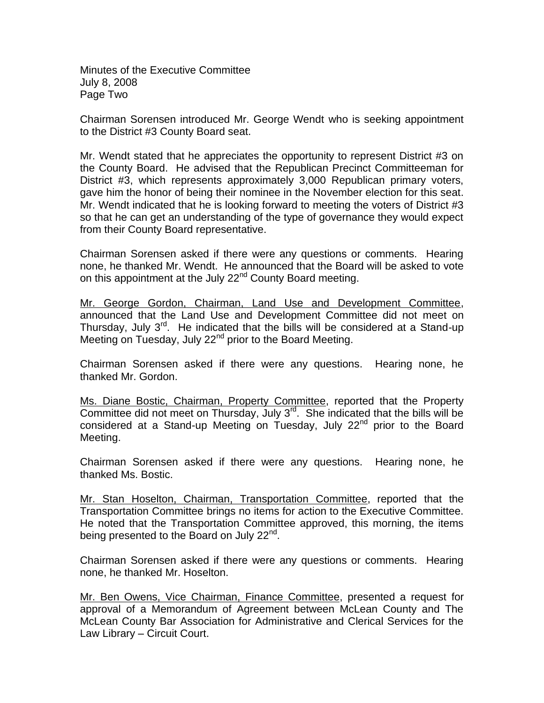Minutes of the Executive Committee July 8, 2008 Page Two

Chairman Sorensen introduced Mr. George Wendt who is seeking appointment to the District #3 County Board seat.

Mr. Wendt stated that he appreciates the opportunity to represent District #3 on the County Board. He advised that the Republican Precinct Committeeman for District #3, which represents approximately 3,000 Republican primary voters, gave him the honor of being their nominee in the November election for this seat. Mr. Wendt indicated that he is looking forward to meeting the voters of District #3 so that he can get an understanding of the type of governance they would expect from their County Board representative.

Chairman Sorensen asked if there were any questions or comments. Hearing none, he thanked Mr. Wendt. He announced that the Board will be asked to vote on this appointment at the July 22<sup>nd</sup> County Board meeting.

Mr. George Gordon, Chairman, Land Use and Development Committee, announced that the Land Use and Development Committee did not meet on Thursday, July  $3^{rd}$ . He indicated that the bills will be considered at a Stand-up Meeting on Tuesday, July 22<sup>nd</sup> prior to the Board Meeting.

Chairman Sorensen asked if there were any questions. Hearing none, he thanked Mr. Gordon.

Ms. Diane Bostic, Chairman, Property Committee, reported that the Property Committee did not meet on Thursday, July  $3^{rd}$ . She indicated that the bills will be considered at a Stand-up Meeting on Tuesday, July  $22<sup>nd</sup>$  prior to the Board Meeting.

Chairman Sorensen asked if there were any questions. Hearing none, he thanked Ms. Bostic.

Mr. Stan Hoselton, Chairman, Transportation Committee, reported that the Transportation Committee brings no items for action to the Executive Committee. He noted that the Transportation Committee approved, this morning, the items being presented to the Board on July 22<sup>nd</sup>.

Chairman Sorensen asked if there were any questions or comments. Hearing none, he thanked Mr. Hoselton.

Mr. Ben Owens, Vice Chairman, Finance Committee, presented a request for approval of a Memorandum of Agreement between McLean County and The McLean County Bar Association for Administrative and Clerical Services for the Law Library – Circuit Court.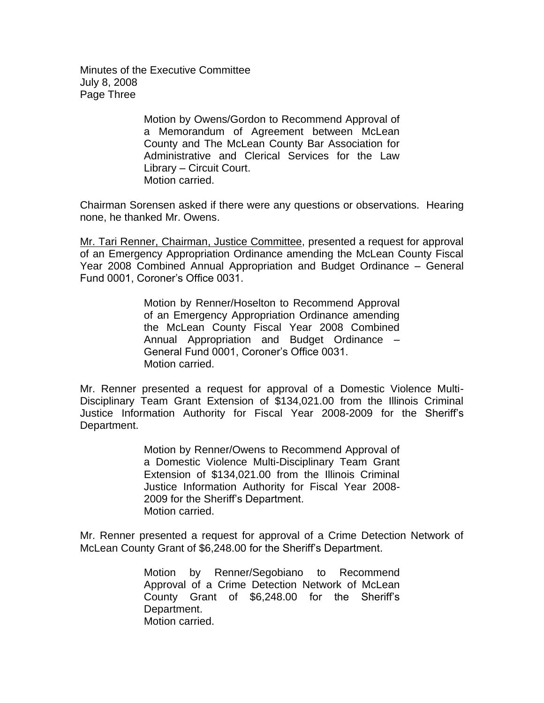Minutes of the Executive Committee July 8, 2008 Page Three

> Motion by Owens/Gordon to Recommend Approval of a Memorandum of Agreement between McLean County and The McLean County Bar Association for Administrative and Clerical Services for the Law Library – Circuit Court. Motion carried.

Chairman Sorensen asked if there were any questions or observations. Hearing none, he thanked Mr. Owens.

Mr. Tari Renner, Chairman, Justice Committee, presented a request for approval of an Emergency Appropriation Ordinance amending the McLean County Fiscal Year 2008 Combined Annual Appropriation and Budget Ordinance – General Fund 0001, Coroner's Office 0031.

> Motion by Renner/Hoselton to Recommend Approval of an Emergency Appropriation Ordinance amending the McLean County Fiscal Year 2008 Combined Annual Appropriation and Budget Ordinance – General Fund 0001, Coroner's Office 0031. Motion carried.

Mr. Renner presented a request for approval of a Domestic Violence Multi-Disciplinary Team Grant Extension of \$134,021.00 from the Illinois Criminal Justice Information Authority for Fiscal Year 2008-2009 for the Sheriff's Department.

> Motion by Renner/Owens to Recommend Approval of a Domestic Violence Multi-Disciplinary Team Grant Extension of \$134,021.00 from the Illinois Criminal Justice Information Authority for Fiscal Year 2008- 2009 for the Sheriff's Department. Motion carried.

Mr. Renner presented a request for approval of a Crime Detection Network of McLean County Grant of \$6,248.00 for the Sheriff's Department.

> Motion by Renner/Segobiano to Recommend Approval of a Crime Detection Network of McLean County Grant of \$6,248.00 for the Sheriff's Department. Motion carried.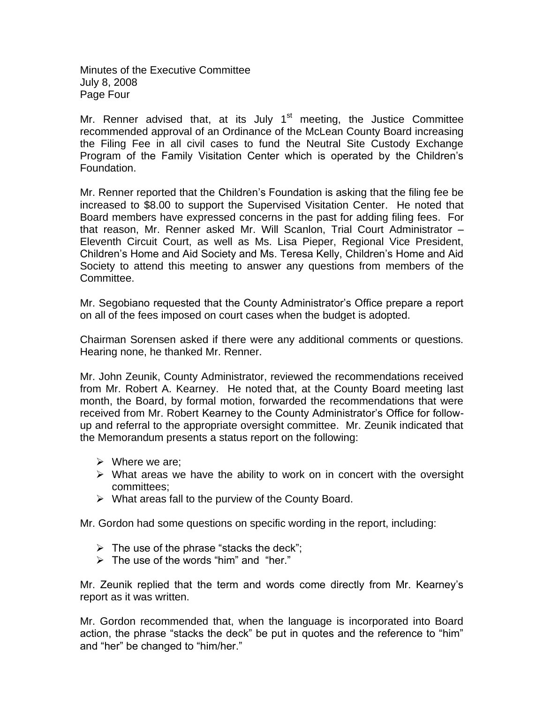Minutes of the Executive Committee July 8, 2008 Page Four

Mr. Renner advised that, at its July  $1<sup>st</sup>$  meeting, the Justice Committee recommended approval of an Ordinance of the McLean County Board increasing the Filing Fee in all civil cases to fund the Neutral Site Custody Exchange Program of the Family Visitation Center which is operated by the Children's Foundation.

Mr. Renner reported that the Children's Foundation is asking that the filing fee be increased to \$8.00 to support the Supervised Visitation Center. He noted that Board members have expressed concerns in the past for adding filing fees. For that reason, Mr. Renner asked Mr. Will Scanlon, Trial Court Administrator – Eleventh Circuit Court, as well as Ms. Lisa Pieper, Regional Vice President, Children's Home and Aid Society and Ms. Teresa Kelly, Children's Home and Aid Society to attend this meeting to answer any questions from members of the Committee.

Mr. Segobiano requested that the County Administrator's Office prepare a report on all of the fees imposed on court cases when the budget is adopted.

Chairman Sorensen asked if there were any additional comments or questions. Hearing none, he thanked Mr. Renner.

Mr. John Zeunik, County Administrator, reviewed the recommendations received from Mr. Robert A. Kearney. He noted that, at the County Board meeting last month, the Board, by formal motion, forwarded the recommendations that were received from Mr. Robert Kearney to the County Administrator's Office for followup and referral to the appropriate oversight committee. Mr. Zeunik indicated that the Memorandum presents a status report on the following:

- $\triangleright$  Where we are:
- $\triangleright$  What areas we have the ability to work on in concert with the oversight committees;
- $\triangleright$  What areas fall to the purview of the County Board.

Mr. Gordon had some questions on specific wording in the report, including:

- $\triangleright$  The use of the phrase "stacks the deck";
- $\triangleright$  The use of the words "him" and "her."

Mr. Zeunik replied that the term and words come directly from Mr. Kearney's report as it was written.

Mr. Gordon recommended that, when the language is incorporated into Board action, the phrase "stacks the deck" be put in quotes and the reference to "him" and "her" be changed to "him/her."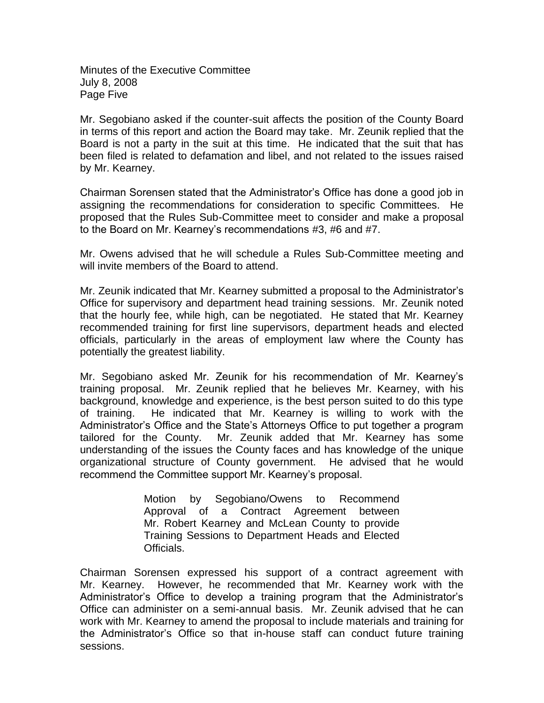Minutes of the Executive Committee July 8, 2008 Page Five

Mr. Segobiano asked if the counter-suit affects the position of the County Board in terms of this report and action the Board may take. Mr. Zeunik replied that the Board is not a party in the suit at this time. He indicated that the suit that has been filed is related to defamation and libel, and not related to the issues raised by Mr. Kearney.

Chairman Sorensen stated that the Administrator's Office has done a good job in assigning the recommendations for consideration to specific Committees. He proposed that the Rules Sub-Committee meet to consider and make a proposal to the Board on Mr. Kearney's recommendations #3, #6 and #7.

Mr. Owens advised that he will schedule a Rules Sub-Committee meeting and will invite members of the Board to attend.

Mr. Zeunik indicated that Mr. Kearney submitted a proposal to the Administrator's Office for supervisory and department head training sessions. Mr. Zeunik noted that the hourly fee, while high, can be negotiated. He stated that Mr. Kearney recommended training for first line supervisors, department heads and elected officials, particularly in the areas of employment law where the County has potentially the greatest liability.

Mr. Segobiano asked Mr. Zeunik for his recommendation of Mr. Kearney's training proposal. Mr. Zeunik replied that he believes Mr. Kearney, with his background, knowledge and experience, is the best person suited to do this type of training. He indicated that Mr. Kearney is willing to work with the Administrator's Office and the State's Attorneys Office to put together a program tailored for the County. Mr. Zeunik added that Mr. Kearney has some understanding of the issues the County faces and has knowledge of the unique organizational structure of County government. He advised that he would recommend the Committee support Mr. Kearney's proposal.

> Motion by Segobiano/Owens to Recommend Approval of a Contract Agreement between Mr. Robert Kearney and McLean County to provide Training Sessions to Department Heads and Elected Officials.

Chairman Sorensen expressed his support of a contract agreement with Mr. Kearney. However, he recommended that Mr. Kearney work with the Administrator's Office to develop a training program that the Administrator's Office can administer on a semi-annual basis. Mr. Zeunik advised that he can work with Mr. Kearney to amend the proposal to include materials and training for the Administrator's Office so that in-house staff can conduct future training sessions.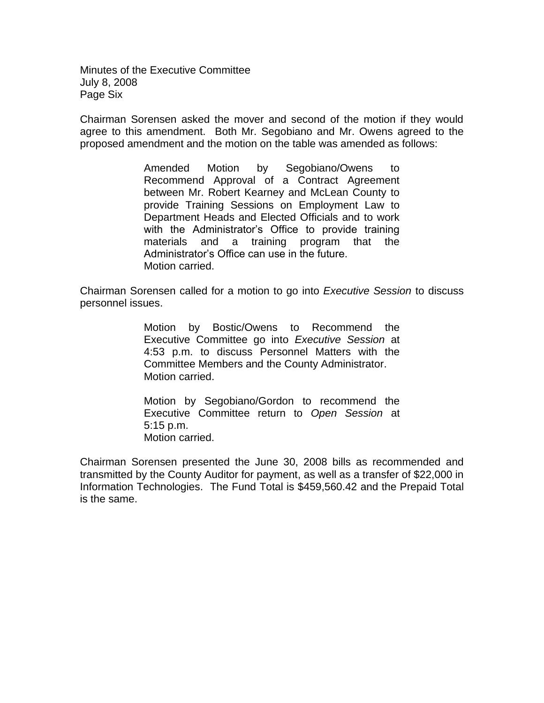Minutes of the Executive Committee July 8, 2008 Page Six

Chairman Sorensen asked the mover and second of the motion if they would agree to this amendment. Both Mr. Segobiano and Mr. Owens agreed to the proposed amendment and the motion on the table was amended as follows:

> Amended Motion by Segobiano/Owens to Recommend Approval of a Contract Agreement between Mr. Robert Kearney and McLean County to provide Training Sessions on Employment Law to Department Heads and Elected Officials and to work with the Administrator's Office to provide training materials and a training program that the Administrator's Office can use in the future. Motion carried.

Chairman Sorensen called for a motion to go into *Executive Session* to discuss personnel issues.

> Motion by Bostic/Owens to Recommend the Executive Committee go into *Executive Session* at 4:53 p.m. to discuss Personnel Matters with the Committee Members and the County Administrator. Motion carried.

> Motion by Segobiano/Gordon to recommend the Executive Committee return to *Open Session* at 5:15 p.m. Motion carried.

Chairman Sorensen presented the June 30, 2008 bills as recommended and transmitted by the County Auditor for payment, as well as a transfer of \$22,000 in Information Technologies. The Fund Total is \$459,560.42 and the Prepaid Total is the same.